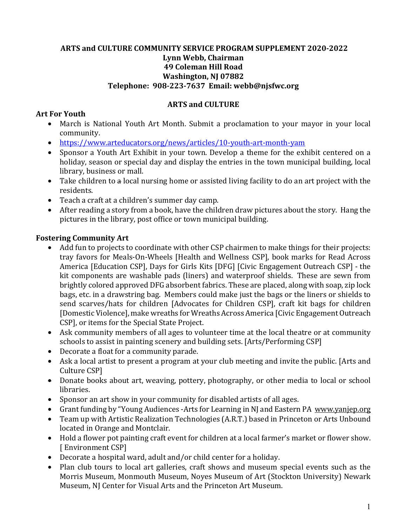## **ARTS and CULTURE COMMUNITY SERVICE PROGRAM SUPPLEMENT 2020-2022 Lynn Webb, Chairman 49 Coleman Hill Road Washington, NJ 07882 Telephone: 908-223-7637 Email: webb@njsfwc.org**

## **ARTS and CULTURE**

## **Art For Youth**

- March is National Youth Art Month. Submit a proclamation to your mayor in your local community.
- https://www.arteducators.org/news/articles/10-youth-art-month-yam
- Sponsor a Youth Art Exhibit in your town. Develop a theme for the exhibit centered on a holiday, season or special day and display the entries in the town municipal building, local library, business or mall.
- Take children to a local nursing home or assisted living facility to do an art project with the residents.
- Teach a craft at a children's summer day camp.
- After reading a story from a book, have the children draw pictures about the story. Hang the pictures in the library, post office or town municipal building.

### **Fostering Community Art**

- Add fun to projects to coordinate with other CSP chairmen to make things for their projects: tray favors for Meals-On-Wheels [Health and Wellness CSP], book marks for Read Across America [Education CSP], Days for Girls Kits [DFG] [Civic Engagement Outreach CSP] - the kit components are washable pads (liners) and waterproof shields. These are sewn from brightly colored approved DFG absorbent fabrics. These are placed, along with soap, zip lock bags, etc. in a drawstring bag. Members could make just the bags or the liners or shields to send scarves/hats for children [Advocates for Children CSP], craft kit bags for children [Domestic Violence], make wreaths for Wreaths Across America [Civic Engagement Outreach CSP], or items for the Special State Project.
- Ask community members of all ages to volunteer time at the local theatre or at community schools to assist in painting scenery and building sets. [Arts/Performing CSP]
- Decorate a float for a community parade.
- Ask a local artist to present a program at your club meeting and invite the public. [Arts and Culture CSP]
- Donate books about art, weaving, pottery, photography, or other media to local or school libraries.
- Sponsor an art show in your community for disabled artists of all ages.
- Grant funding by "Young Audiences -Arts for Learning in NJ and Eastern PA www.yanjep.org
- Team up with Artistic Realization Technologies (A.R.T.) based in Princeton or Arts Unbound located in Orange and Montclair.
- Hold a flower pot painting craft event for children at a local farmer's market or flower show. [ Environment CSP]
- Decorate a hospital ward, adult and/or child center for a holiday.
- Plan club tours to local art galleries, craft shows and museum special events such as the Morris Museum, Monmouth Museum, Noyes Museum of Art (Stockton University) Newark Museum, NJ Center for Visual Arts and the Princeton Art Museum.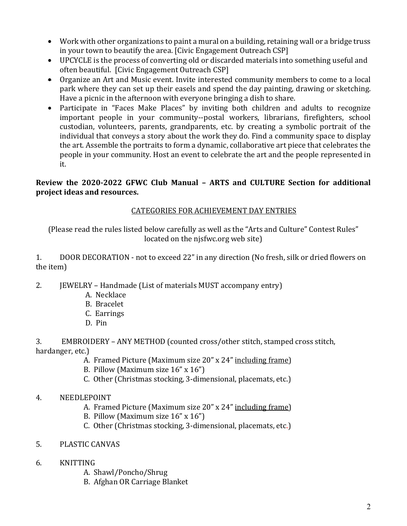- Work with other organizations to paint a mural on a building, retaining wall or a bridge truss in your town to beautify the area. [Civic Engagement Outreach CSP]
- UPCYCLE is the process of converting old or discarded materials into something useful and often beautiful. [Civic Engagement Outreach CSP]
- Organize an Art and Music event. Invite interested community members to come to a local park where they can set up their easels and spend the day painting, drawing or sketching. Have a picnic in the afternoon with everyone bringing a dish to share.
- Participate in "Faces Make Places" by inviting both children and adults to recognize important people in your community--postal workers, librarians, firefighters, school custodian, volunteers, parents, grandparents, etc. by creating a symbolic portrait of the individual that conveys a story about the work they do. Find a community space to display the art. Assemble the portraits to form a dynamic, collaborative art piece that celebrates the people in your community. Host an event to celebrate the art and the people represented in it.

## **Review the 2020-2022 GFWC Club Manual – ARTS and CULTURE Section for additional project ideas and resources.**

# CATEGORIES FOR ACHIEVEMENT DAY ENTRIES

(Please read the rules listed below carefully as well as the "Arts and Culture" Contest Rules" located on the njsfwc.org web site)

1. DOOR DECORATION - not to exceed 22" in any direction (No fresh, silk or dried flowers on the item)

- 2. JEWELRY Handmade (List of materials MUST accompany entry)
	- A. Necklace
	- B. Bracelet
	- C. Earrings
	- D. Pin
- 3. EMBROIDERY ANY METHOD (counted cross/other stitch, stamped cross stitch, hardanger, etc.)
	- A. Framed Picture (Maximum size 20" x 24" including frame)
	- B. Pillow (Maximum size 16" x 16")
	- C. Other (Christmas stocking, 3-dimensional, placemats, etc.)
- 4. NEEDLEPOINT
	- A. Framed Picture (Maximum size 20" x 24" including frame)
	- B. Pillow (Maximum size 16" x 16")
	- C. Other (Christmas stocking, 3-dimensional, placemats, etc.)
- 5. PLASTIC CANVAS
- 6. KNITTING
	- A. Shawl/Poncho/Shrug
	- B. Afghan OR Carriage Blanket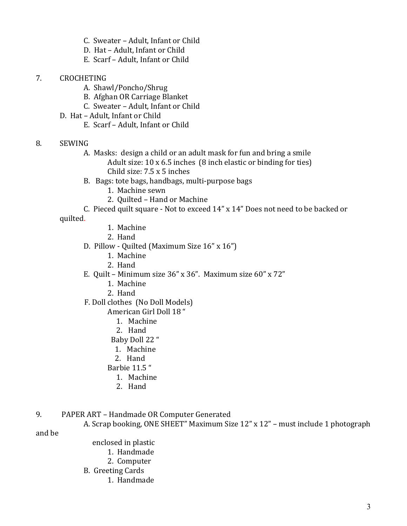- C. Sweater Adult, Infant or Child
- D. Hat Adult, Infant or Child
- E. Scarf Adult, Infant or Child
- 7. CROCHETING
	- A. Shawl/Poncho/Shrug
	- B. Afghan OR Carriage Blanket
	- C. Sweater Adult, Infant or Child
	- D. Hat Adult, Infant or Child
		- E. Scarf Adult, Infant or Child

### 8. SEWING

A. Masks: design a child or an adult mask for fun and bring a smile Adult size: 10 x 6.5 inches (8 inch elastic or binding for ties) Child size: 7.5 x 5 inches

- B. Bags: tote bags, handbags, multi-purpose bags
	- 1. Machine sewn
	- 2. Quilted Hand or Machine

C. Pieced quilt square - Not to exceed 14" x 14" Does not need to be backed or quilted.

- 1. Machine
- 2. Hand
- D. Pillow Quilted (Maximum Size 16" x 16")
	- 1. Machine
	- 2. Hand
- E. Quilt Minimum size 36" x 36". Maximum size 60" x 72"
	- 1. Machine
	- 2. Hand
- F. Doll clothes (No Doll Models)

American Girl Doll 18 "

- 1. Machine
- 2. Hand
- Baby Doll 22 "
- 1. Machine
- 2. Hand

Barbie 11.5 "

- 1. Machine
- 2. Hand
- 9. PAPER ART Handmade OR Computer Generated

A. Scrap booking, ONE SHEET" Maximum Size 12" x 12" – must include 1 photograph

and be

 enclosed in plastic 1. Handmade 2. Computer B. Greeting Cards 1. Handmade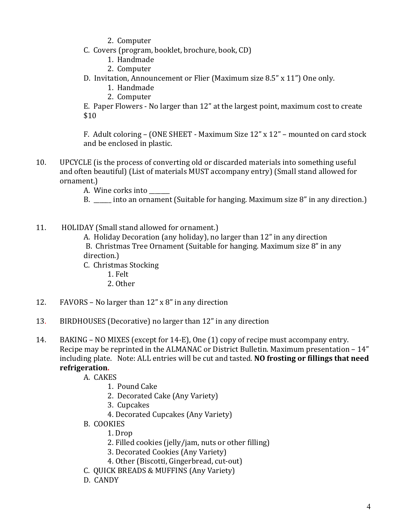- 2. Computer
- C. Covers (program, booklet, brochure, book, CD)
	- 1. Handmade
	- 2. Computer
- D. Invitation, Announcement or Flier (Maximum size 8.5" x 11") One only.
	- 1. Handmade
	- 2. Computer

E. Paper Flowers - No larger than 12" at the largest point, maximum cost to create \$10

F. Adult coloring – (ONE SHEET - Maximum Size 12" x 12" – mounted on card stock and be enclosed in plastic.

10. UPCYCLE (is the process of converting old or discarded materials into something useful and often beautiful) (List of materials MUST accompany entry) (Small stand allowed for ornament.)

A. Wine corks into

- B. \_\_\_\_\_\_ into an ornament (Suitable for hanging. Maximum size 8" in any direction.)
- 11. HOLIDAY (Small stand allowed for ornament.)

 A. Holiday Decoration (any holiday), no larger than 12" in any direction B. Christmas Tree Ornament (Suitable for hanging. Maximum size 8" in any direction.)

- C. Christmas Stocking
	- 1. Felt
	- 2. Other
- 12. FAVORS No larger than 12" x 8" in any direction
- 13. BIRDHOUSES (Decorative) no larger than 12" in any direction

14. BAKING – NO MIXES (except for 14-E), One (1) copy of recipe must accompany entry. Recipe may be reprinted in the ALMANAC or District Bulletin. Maximum presentation – 14" including plate. Note: ALL entries will be cut and tasted. **NO frosting or fillings that need refrigeration.**

- A. CAKES
	- 1. Pound Cake
	- 2. Decorated Cake (Any Variety)
	- 3. Cupcakes
	- 4. Decorated Cupcakes (Any Variety)
- B. COOKIES
	- 1. Drop
	- 2. Filled cookies (jelly/jam, nuts or other filling)
	- 3. Decorated Cookies (Any Variety)
	- 4. Other (Biscotti, Gingerbread, cut-out)
- C. QUICK BREADS & MUFFINS (Any Variety)
- D. CANDY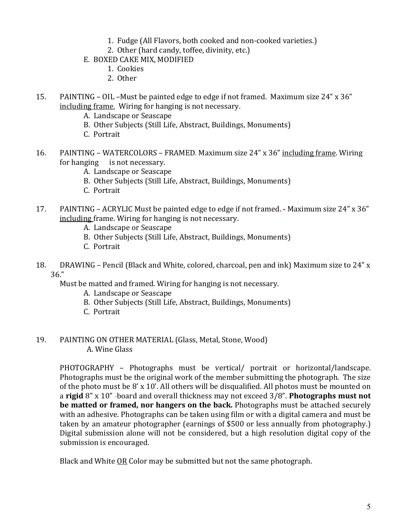- 1. Fudge (All Flavors, both cooked and non-cooked varieties.)
- 2. Other (hard candy, toffee, divinity, etc.)
- E. BOXED CAKE MIX, MODIFIED
	- 1. Cookies
	- 2. Other
- 15. PAINTING OIL –Must be painted edge to edge if not framed. Maximum size 24" x 36" including frame. Wiring for hanging is not necessary.
	- A. Landscape or Seascape
	- B. Other Subjects (Still Life, Abstract, Buildings, Monuments)
	- C. Portrait
- 16. PAINTING WATERCOLORS FRAMED. Maximum size 24" x 36" including frame. Wiring for hanging is not necessary.
	- A. Landscape or Seascape
	- B. Other Subjects (Still Life, Abstract, Buildings, Monuments)
	- C. Portrait
- 17. PAINTING ACRYLIC Must be painted edge to edge if not framed. Maximum size 24" x 36" including frame. Wiring for hanging is not necessary.
	- A. Landscape or Seascape
	- B. Other Subjects (Still Life, Abstract, Buildings, Monuments)
	- C. Portrait
- 18. DRAWING Pencil (Black and White, colored, charcoal, pen and ink) Maximum size to 24" x 36."

Must be matted and framed. Wiring for hanging is not necessary.

- A. Landscape or Seascape
- B. Other Subjects (Still Life, Abstract, Buildings, Monuments)
- C. Portrait
- 19. PAINTING ON OTHER MATERIAL (Glass, Metal, Stone, Wood) A. Wine Glass

 PHOTOGRAPHY – Photographs must be vertical/ portrait or horizontal/landscape. Photographs must be the original work of the member submitting the photograph. The size of the photo must be 8' x 10'. All others will be disqualified. All photos must be mounted on a **rigid** 8" x 10" board and overall thickness may not exceed 3/8". **Photographs must not be matted or framed, nor hangers on the back.** Photographs must be attached securely with an adhesive. Photographs can be taken using film or with a digital camera and must be taken by an amateur photographer (earnings of \$500 or less annually from photography.) Digital submission alone will not be considered, but a high resolution digital copy of the submission is encouraged.

Black and White OR Color may be submitted but not the same photograph.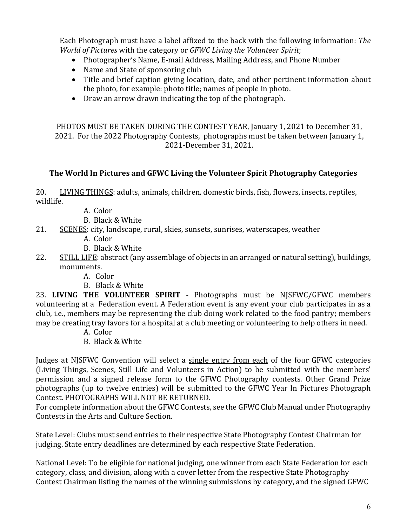Each Photograph must have a label affixed to the back with the following information: *The World of Pictures* with the category or *GFWC Living the Volunteer Spirit*;

- Photographer's Name, E-mail Address, Mailing Address, and Phone Number
- Name and State of sponsoring club
- Title and brief caption giving location, date, and other pertinent information about the photo, for example: photo title; names of people in photo.
- Draw an arrow drawn indicating the top of the photograph.

PHOTOS MUST BE TAKEN DURING THE CONTEST YEAR, January 1, 2021 to December 31, 2021. For the 2022 Photography Contests, photographs must be taken between January 1, 2021-December 31, 2021.

# **The World In Pictures and GFWC Living the Volunteer Spirit Photography Categories**

20. LIVING THINGS: adults, animals, children, domestic birds, fish, flowers, insects, reptiles, wildlife.

- A. Color
- B. Black & White
- 21. SCENES: city, landscape, rural, skies, sunsets, sunrises, waterscapes, weather
	- A. Color
	- B. Black & White
- 22. STILL LIFE: abstract (any assemblage of objects in an arranged or natural setting), buildings, monuments.
	- A. Color
	- B. Black & White

23. **LIVING THE VOLUNTEER SPIRIT** - Photographs must be NJSFWC/GFWC members volunteering at a Federation event. A Federation event is any event your club participates in as a club, i.e., members may be representing the club doing work related to the food pantry; members may be creating tray favors for a hospital at a club meeting or volunteering to help others in need.

- A. Color
- B. Black & White

Judges at NJSFWC Convention will select a single entry from each of the four GFWC categories (Living Things, Scenes, Still Life and Volunteers in Action) to be submitted with the members' permission and a signed release form to the GFWC Photography contests. Other Grand Prize photographs (up to twelve entries) will be submitted to the GFWC Year In Pictures Photograph Contest. PHOTOGRAPHS WILL NOT BE RETURNED.

For complete information about the GFWC Contests, see the GFWC Club Manual under Photography Contests in the Arts and Culture Section.

State Level: Clubs must send entries to their respective State Photography Contest Chairman for judging. State entry deadlines are determined by each respective State Federation.

National Level: To be eligible for national judging, one winner from each State Federation for each category, class, and division, along with a cover letter from the respective State Photography Contest Chairman listing the names of the winning submissions by category, and the signed GFWC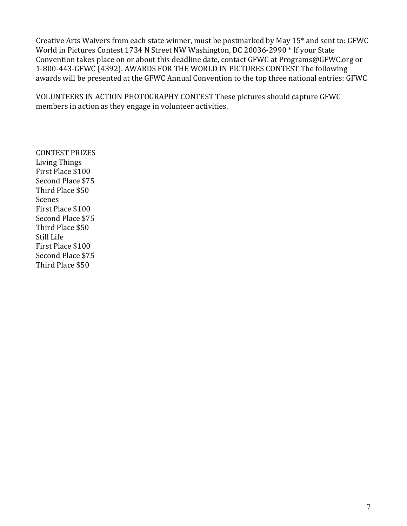Creative Arts Waivers from each state winner, must be postmarked by May 15\* and sent to: GFWC World in Pictures Contest 1734 N Street NW Washington, DC 20036-2990 \* If your State Convention takes place on or about this deadline date, contact GFWC at Programs@GFWC.org or 1-800-443-GFWC (4392). AWARDS FOR THE WORLD IN PICTURES CONTEST The following awards will be presented at the GFWC Annual Convention to the top three national entries: GFWC

VOLUNTEERS IN ACTION PHOTOGRAPHY CONTEST These pictures should capture GFWC members in action as they engage in volunteer activities.

CONTEST PRIZES Living Things First Place \$100 Second Place \$75 Third Place \$50 Scenes First Place \$100 Second Place \$75 Third Place \$50 Still Life First Place \$100 Second Place \$75 Third Place \$50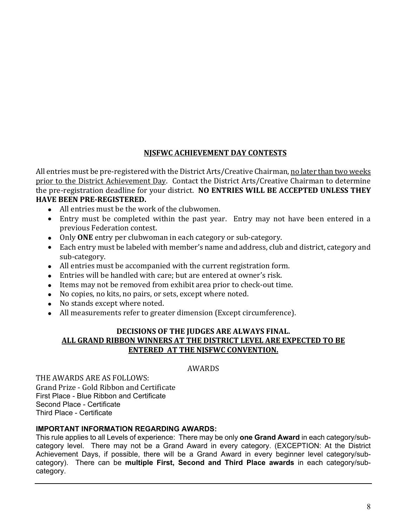## **NJSFWC ACHIEVEMENT DAY CONTESTS**

All entries must be pre-registered with the District Arts/Creative Chairman, no later than two weeks prior to the District Achievement Day. Contact the District Arts/Creative Chairman to determine the pre-registration deadline for your district. **NO ENTRIES WILL BE ACCEPTED UNLESS THEY HAVE BEEN PRE-REGISTERED.**

- All entries must be the work of the clubwomen.
- Entry must be completed within the past year. Entry may not have been entered in a previous Federation contest.
- Only **ONE** entry per clubwoman in each category or sub-category.
- Each entry must be labeled with member's name and address, club and district, category and sub-category.
- All entries must be accompanied with the current registration form.
- Entries will be handled with care; but are entered at owner's risk.
- Items may not be removed from exhibit area prior to check-out time.
- No copies, no kits, no pairs, or sets, except where noted.
- No stands except where noted.
- All measurements refer to greater dimension (Except circumference).

### **DECISIONS OF THE JUDGES ARE ALWAYS FINAL. ALL GRAND RIBBON WINNERS AT THE DISTRICT LEVEL ARE EXPECTED TO BE ENTERED AT THE NJSFWC CONVENTION.**

### AWARDS

THE AWARDS ARE AS FOLLOWS: Grand Prize - Gold Ribbon and Certificate First Place - Blue Ribbon and Certificate Second Place - Certificate Third Place - Certificate

### **IMPORTANT INFORMATION REGARDING AWARDS:**

This rule applies to all Levels of experience: There may be only **one Grand Award** in each category/subcategory level. There may not be a Grand Award in every category. (EXCEPTION: At the District Achievement Days, if possible, there will be a Grand Award in every beginner level category/subcategory). There can be **multiple First, Second and Third Place awards** in each category/subcategory.